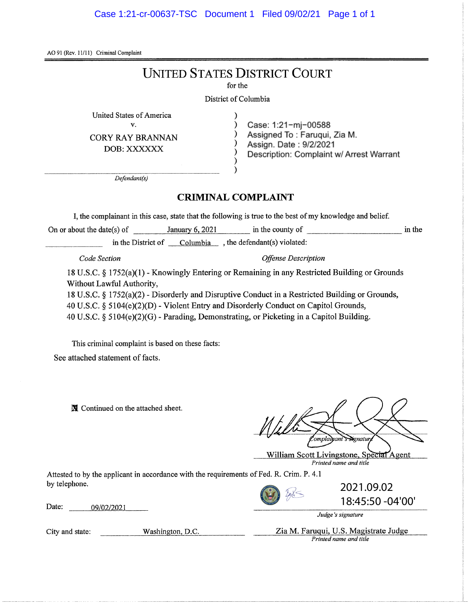AO 91 (Rev. 11/11) Criminal Complaint

# **UNITED STATES DISTRICT COURT**

for the

#### District of Columbia

) ) ) ) ) ) )

United States of America

v.

DOB:XXXXXX

Case: 1:21-mj-00588 CORY RAY BRANNAN (CORY RAY BRANNAN) Assigned To: Faruqui, Zia M.<br>  $\overrightarrow{OCD}$ , YYYYYYY Description: Complaint w/ Arrest Warrant

*Defendant{s)*

### **CRIMINAL COMPLAINT**

I, the complainant in this case, state that the following is true to the best of my knowledge and belief.

On or about the date(s) of January  $6, 2021$  in the county of in the in the in the District of  $\Box$  Columbia , the defendant(s) violated:

*Code Section Offense Description*

18 U.S.C. § 1752(a)(1) - Knowingly Entering or Remaining in any Restricted Building or Grounds Without Lawful Authority,

18 U.S.C. § 1752(a)(2) - Disorderly and Disruptive Conduct in a Restricted Building or Grounds, 40 U.S.C. § 5104(e)(2)(D) - Violent Entry and Disorderly Conduct on Capitol Grounds, 40 U.S.C. § 5104(e)(2)(G) - Parading, Demonstrating, or Picketing in a Capitol Building.

This criminal complaint is based on these facts:

See attached statement of facts.

IX Continued on the attached sheet.

omplainant s <del>si</del>gnatur

William Scott Livingstone, Special Agent *Printed name and title*

Attested to by the applicant in accordance with the requirements of Fed. R. Crim. P. 4.1 by telephone.

Date: *09/02/2021*

*Judge's signature*

City and state: Washington, D.C. Zia M. Farugui, U.S. Magistrate Judge *Printed name and title*

2021.09.02

18:45:50 -04'00'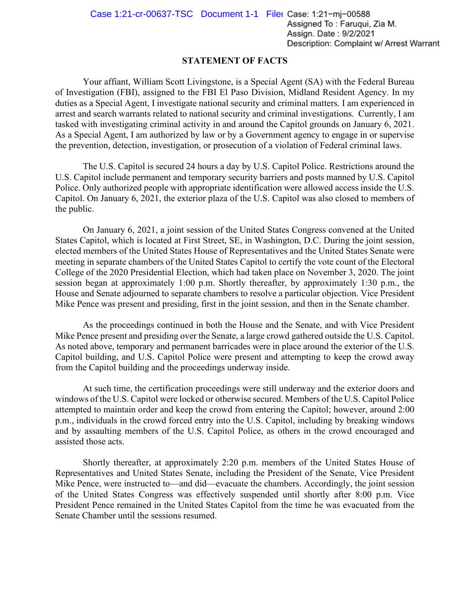### **STATEMENT OF FACTS**

Your affiant, William Scott Livingstone, is a Special Agent (SA) with the Federal Bureau of Investigation (FBI), assigned to the FBI El Paso Division, Midland Resident Agency. In my duties as a Special Agent, I investigate national security and criminal matters. I am experienced in arrest and search warrants related to national security and criminal investigations. Currently, I am tasked with investigating criminal activity in and around the Capitol grounds on January 6, 2021. As a Special Agent, I am authorized by law or by a Government agency to engage in or supervise the prevention, detection, investigation, or prosecution of a violation of Federal criminal laws.

The U.S. Capitol is secured 24 hours a day by U.S. Capitol Police. Restrictions around the U.S. Capitol include permanent and temporary security barriers and posts manned by U.S. Capitol Police. Only authorized people with appropriate identification were allowed access inside the U.S. Capitol. On January 6, 2021, the exterior plaza of the U.S. Capitol was also closed to members of the public.

On January 6, 2021, a joint session of the United States Congress convened at the United States Capitol, which is located at First Street, SE, in Washington, D.C. During the joint session, elected members of the United States House of Representatives and the United States Senate were meeting in separate chambers of the United States Capitol to certify the vote count of the Electoral College of the 2020 Presidential Election, which had taken place on November 3, 2020. The joint session began at approximately 1:00 p.m. Shortly thereafter, by approximately 1:30 p.m., the House and Senate adjourned to separate chambers to resolve a particular objection. Vice President Mike Pence was present and presiding, first in the joint session, and then in the Senate chamber.

As the proceedings continued in both the House and the Senate, and with Vice President Mike Pence present and presiding over the Senate, a large crowd gathered outside the U.S. Capitol. As noted above, temporary and permanent barricades were in place around the exterior of the U.S. Capitol building, and U.S. Capitol Police were present and attempting to keep the crowd away from the Capitol building and the proceedings underway inside.

At such time, the certification proceedings were still underway and the exterior doors and windows of the U.S. Capitol were locked or otherwise secured. Members of the U.S. Capitol Police attempted to maintain order and keep the crowd from entering the Capitol; however, around 2:00 p.m., individuals in the crowd forced entry into the U.S. Capitol, including by breaking windows and by assaulting members of the U.S. Capitol Police, as others in the crowd encouraged and assisted those acts.

Shortly thereafter, at approximately 2:20 p.m. members of the United States House of Representatives and United States Senate, including the President of the Senate, Vice President Mike Pence, were instructed to—and did—evacuate the chambers. Accordingly, the joint session of the United States Congress was effectively suspended until shortly after 8:00 p.m. Vice President Pence remained in the United States Capitol from the time he was evacuated from the Senate Chamber until the sessions resumed.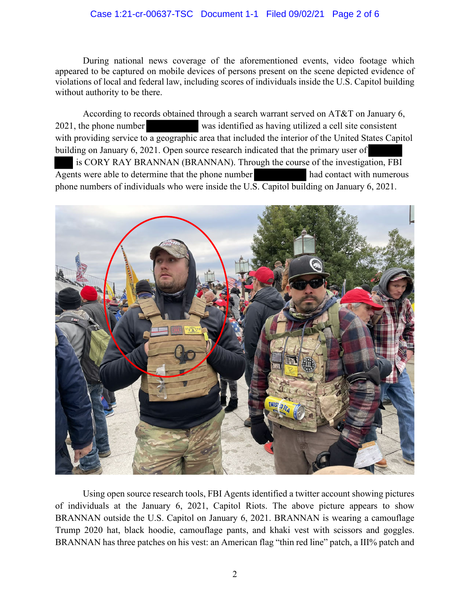### Case 1:21-cr-00637-TSC Document 1-1 Filed 09/02/21 Page 2 of 6

During national news coverage of the aforementioned events, video footage which appeared to be captured on mobile devices of persons present on the scene depicted evidence of violations of local and federal law, including scores of individuals inside the U.S. Capitol building without authority to be there.

According to records obtained through a search warrant served on AT&T on January 6, 2021, the phone number was identified as having utilized a cell site consistent with providing service to a geographic area that included the interior of the United States Capitol building on January 6, 2021. Open source research indicated that the primary user of is CORY RAY BRANNAN (BRANNAN). Through the course of the investigation, FBI Agents were able to determine that the phone number had contact with numerous phone numbers of individuals who were inside the U.S. Capitol building on January 6, 2021.



Using open source research tools, FBI Agents identified a twitter account showing pictures of individuals at the January 6, 2021, Capitol Riots. The above picture appears to show BRANNAN outside the U.S. Capitol on January 6, 2021. BRANNAN is wearing a camouflage Trump 2020 hat, black hoodie, camouflage pants, and khaki vest with scissors and goggles. BRANNAN has three patches on his vest: an American flag "thin red line" patch, a III% patch and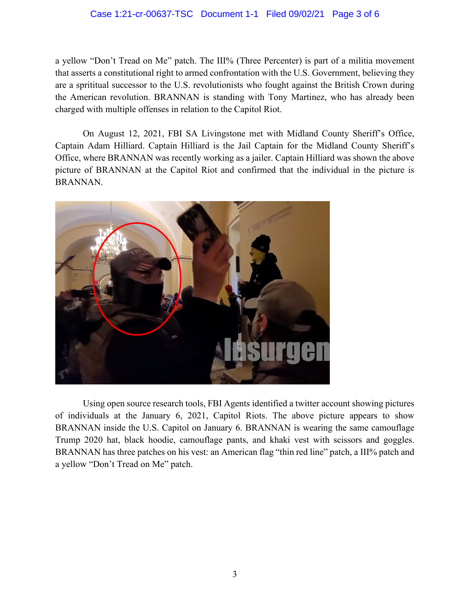### Case 1:21-cr-00637-TSC Document 1-1 Filed 09/02/21 Page 3 of 6

a yellow "Don't Tread on Me" patch. The III% (Three Percenter) is part of a militia movement that asserts a constitutional right to armed confrontation with the U.S. Government, believing they are a sprititual successor to the U.S. revolutionists who fought against the British Crown during the American revolution. BRANNAN is standing with Tony Martinez, who has already been charged with multiple offenses in relation to the Capitol Riot.

On August 12, 2021, FBI SA Livingstone met with Midland County Sheriff's Office, Captain Adam Hilliard. Captain Hilliard is the Jail Captain for the Midland County Sheriff's Office, where BRANNAN was recently working as a jailer. Captain Hilliard was shown the above picture of BRANNAN at the Capitol Riot and confirmed that the individual in the picture is BRANNAN.



Using open source research tools, FBI Agents identified a twitter account showing pictures of individuals at the January 6, 2021, Capitol Riots. The above picture appears to show BRANNAN inside the U.S. Capitol on January 6. BRANNAN is wearing the same camouflage Trump 2020 hat, black hoodie, camouflage pants, and khaki vest with scissors and goggles. BRANNAN has three patches on his vest: an American flag "thin red line" patch, a III% patch and a yellow "Don't Tread on Me" patch.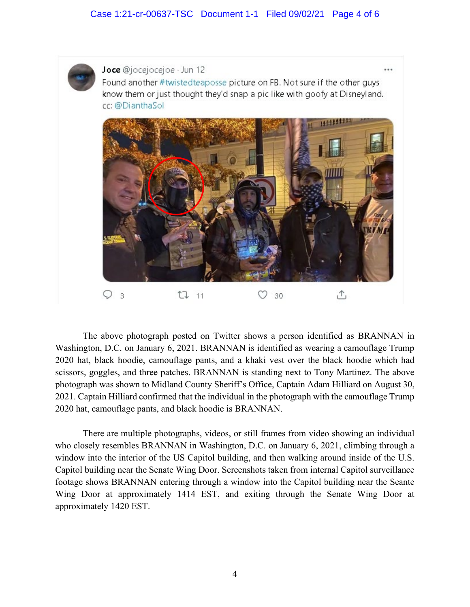## Case 1:21-cr-00637-TSC Document 1-1 Filed 09/02/21 Page 4 of 6



Joce @jocejocejoe · Jun 12 Found another #twistedteaposse picture on FB. Not sure if the other guys know them or just thought they'd snap a pic like with goofy at Disneyland. cc: @DianthaSol



The above photograph posted on Twitter shows a person identified as BRANNAN in Washington, D.C. on January 6, 2021. BRANNAN is identified as wearing a camouflage Trump 2020 hat, black hoodie, camouflage pants, and a khaki vest over the black hoodie which had scissors, goggles, and three patches. BRANNAN is standing next to Tony Martinez. The above photograph was shown to Midland County Sheriff's Office, Captain Adam Hilliard on August 30, 2021. Captain Hilliard confirmed that the individual in the photograph with the camouflage Trump 2020 hat, camouflage pants, and black hoodie is BRANNAN.

There are multiple photographs, videos, or still frames from video showing an individual who closely resembles BRANNAN in Washington, D.C. on January 6, 2021, climbing through a window into the interior of the US Capitol building, and then walking around inside of the U.S. Capitol building near the Senate Wing Door. Screenshots taken from internal Capitol surveillance footage shows BRANNAN entering through a window into the Capitol building near the Seante Wing Door at approximately 1414 EST, and exiting through the Senate Wing Door at approximately 1420 EST.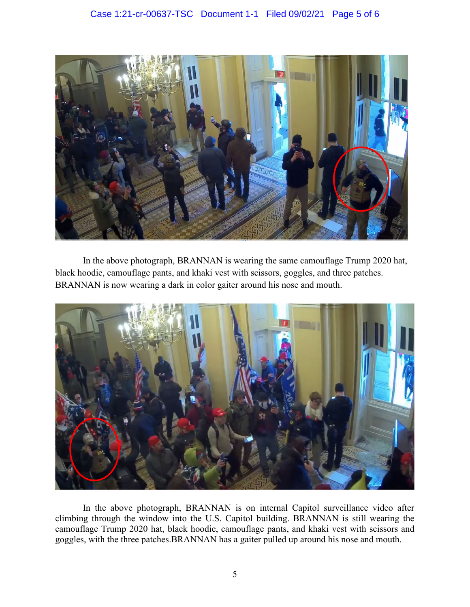

In the above photograph, BRANNAN is wearing the same camouflage Trump 2020 hat, black hoodie, camouflage pants, and khaki vest with scissors, goggles, and three patches. BRANNAN is now wearing a dark in color gaiter around his nose and mouth.



In the above photograph, BRANNAN is on internal Capitol surveillance video after climbing through the window into the U.S. Capitol building. BRANNAN is still wearing the camouflage Trump 2020 hat, black hoodie, camouflage pants, and khaki vest with scissors and goggles, with the three patches.BRANNAN has a gaiter pulled up around his nose and mouth.